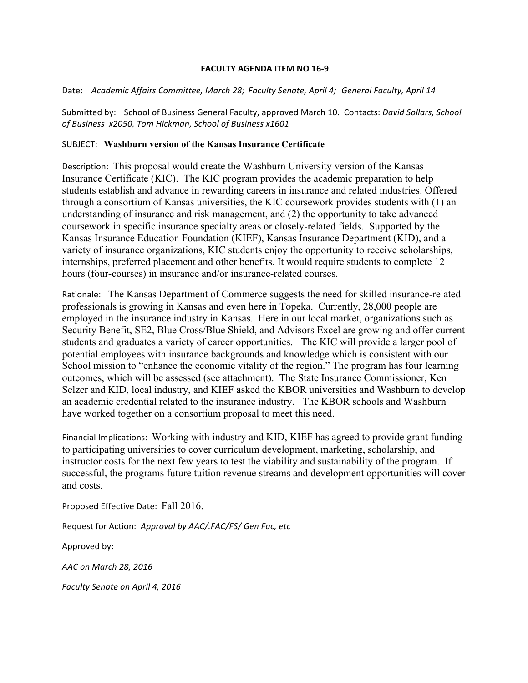## **FACULTY AGENDA ITEM NO 16-9**

Date: Academic Affairs Committee, March 28; Faculty Senate, April 4; General Faculty, April 14

Submitted by: School of Business General Faculty, approved March 10. Contacts: *David Sollars, School* of Business x2050, Tom Hickman, School of Business x1601

## SUBJECT: **Washburn version of the Kansas Insurance Certificate**

Description: This proposal would create the Washburn University version of the Kansas Insurance Certificate (KIC). The KIC program provides the academic preparation to help students establish and advance in rewarding careers in insurance and related industries. Offered through a consortium of Kansas universities, the KIC coursework provides students with (1) an understanding of insurance and risk management, and (2) the opportunity to take advanced coursework in specific insurance specialty areas or closely-related fields. Supported by the Kansas Insurance Education Foundation (KIEF), Kansas Insurance Department (KID), and a variety of insurance organizations, KIC students enjoy the opportunity to receive scholarships, internships, preferred placement and other benefits. It would require students to complete 12 hours (four-courses) in insurance and/or insurance-related courses.

Rationale: The Kansas Department of Commerce suggests the need for skilled insurance-related professionals is growing in Kansas and even here in Topeka. Currently, 28,000 people are employed in the insurance industry in Kansas. Here in our local market, organizations such as Security Benefit, SE2, Blue Cross/Blue Shield, and Advisors Excel are growing and offer current students and graduates a variety of career opportunities. The KIC will provide a larger pool of potential employees with insurance backgrounds and knowledge which is consistent with our School mission to "enhance the economic vitality of the region." The program has four learning outcomes, which will be assessed (see attachment). The State Insurance Commissioner, Ken Selzer and KID, local industry, and KIEF asked the KBOR universities and Washburn to develop an academic credential related to the insurance industry. The KBOR schools and Washburn have worked together on a consortium proposal to meet this need.

Financial Implications: Working with industry and KID, KIEF has agreed to provide grant funding to participating universities to cover curriculum development, marketing, scholarship, and instructor costs for the next few years to test the viability and sustainability of the program. If successful, the programs future tuition revenue streams and development opportunities will cover and costs.

Proposed Effective Date: Fall 2016.

Request for Action: Approval by AAC/.FAC/FS/ Gen Fac, etc

Approved by:

*AAC on March 28, 2016*

*Faculty Senate on April 4, 2016*